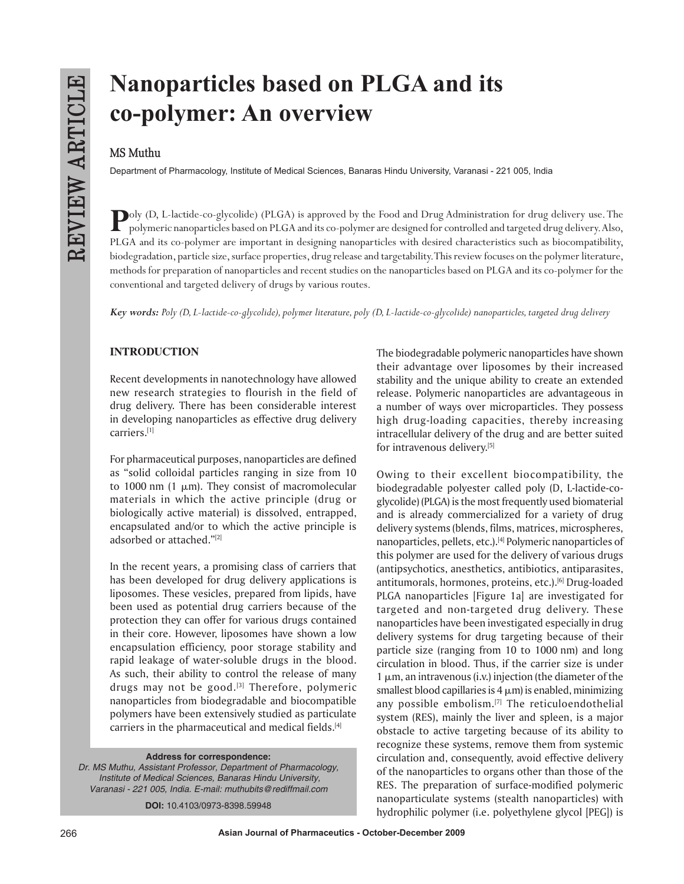# **Nanoparticles based on PLGA and its co‑polymer: An overview**

# **MS Muthu**

Department of Pharmacology, Institute of Medical Sciences, Banaras Hindu University, Varanasi - 221 005, India

**Poly (D, L-lactide-co-glycolide) (PLGA)** is approved by the Food and Drug Administration for drug delivery use. The polymeric papoparticles based on BLCA with the Literature of the Case of  $\alpha$ polymeric nanoparticles based on PLGA and its co-polymer are designed for controlled and targeted drug delivery. Also, PLGA and its co-polymer are important in designing nanoparticles with desired characteristics such as biocompatibility, biodegradation, particle size, surface properties, drug release and targetability. This review focuses on the polymer literature, methods for preparation of nanoparticles and recent studies on the nanoparticles based on PLGA and its co-polymer for the conventional and targeted delivery of drugs by various routes.

*Key words: Poly (D, L-lactide-co-glycolide), polymer literature, poly (D, L-lactide-co-glycolide) nanoparticles, targeted drug delivery*

# **INTRODUCTION**

Recent developments in nanotechnology have allowed new research strategies to flourish in the field of drug delivery. There has been considerable interest in developing nanoparticles as effective drug delivery carriers.[1]

For pharmaceutical purposes, nanoparticles are defined as "solid colloidal particles ranging in size from 10 to 1000 nm  $(1 \mu m)$ . They consist of macromolecular materials in which the active principle (drug or biologically active material) is dissolved, entrapped, encapsulated and/or to which the active principle is adsorbed or attached."[2]

In the recent years, a promising class of carriers that has been developed for drug delivery applications is liposomes. These vesicles, prepared from lipids, have been used as potential drug carriers because of the protection they can offer for various drugs contained in their core. However, liposomes have shown a low encapsulation efficiency, poor storage stability and rapid leakage of water-soluble drugs in the blood. As such, their ability to control the release of many drugs may not be good.<sup>[3]</sup> Therefore, polymeric nanoparticles from biodegradable and biocompatible polymers have been extensively studied as particulate carriers in the pharmaceutical and medical fields.[4]

**Address for correspondence:**

*Dr. MS Muthu, Assistant Professor, Department of Pharmacology, Institute of Medical Sciences, Banaras Hindu University, Varanasi - 221 005, India. E-mail: muthubits@rediffmail.com*

**DOI:** 10.4103/0973-8398.59948

The biodegradable polymeric nanoparticles have shown their advantage over liposomes by their increased stability and the unique ability to create an extended release. Polymeric nanoparticles are advantageous in a number of ways over microparticles. They possess high drug-loading capacities, thereby increasing intracellular delivery of the drug and are better suited for intravenous delivery.[5]

Owing to their excellent biocompatibility, the biodegradable polyester called poly (D, L-lactide-coglycolide) (PLGA) is the most frequently used biomaterial and is already commercialized for a variety of drug delivery systems (blends, films, matrices, microspheres, nanoparticles, pellets, etc.).<sup>[4]</sup> Polymeric nanoparticles of this polymer are used for the delivery of various drugs (antipsychotics, anesthetics, antibiotics, antiparasites, antitumorals, hormones, proteins, etc.).<sup>[6]</sup> Drug-loaded PLGA nanoparticles [Figure 1a] are investigated for targeted and non-targeted drug delivery. These nanoparticles have been investigated especially in drug delivery systems for drug targeting because of their particle size (ranging from 10 to 1000 nm) and long circulation in blood. Thus, if the carrier size is under  $1 \mu m$ , an intravenous (i.v.) injection (the diameter of the smallest blood capillaries is  $4 \mu m$ ) is enabled, minimizing any possible embolism.<sup>[7]</sup> The reticuloendothelial system (RES), mainly the liver and spleen, is a major obstacle to active targeting because of its ability to recognize these systems, remove them from systemic circulation and, consequently, avoid effective delivery of the nanoparticles to organs other than those of the RES. The preparation of surface-modified polymeric nanoparticulate systems (stealth nanoparticles) with hydrophilic polymer (i.e. polyethylene glycol [PEG]) is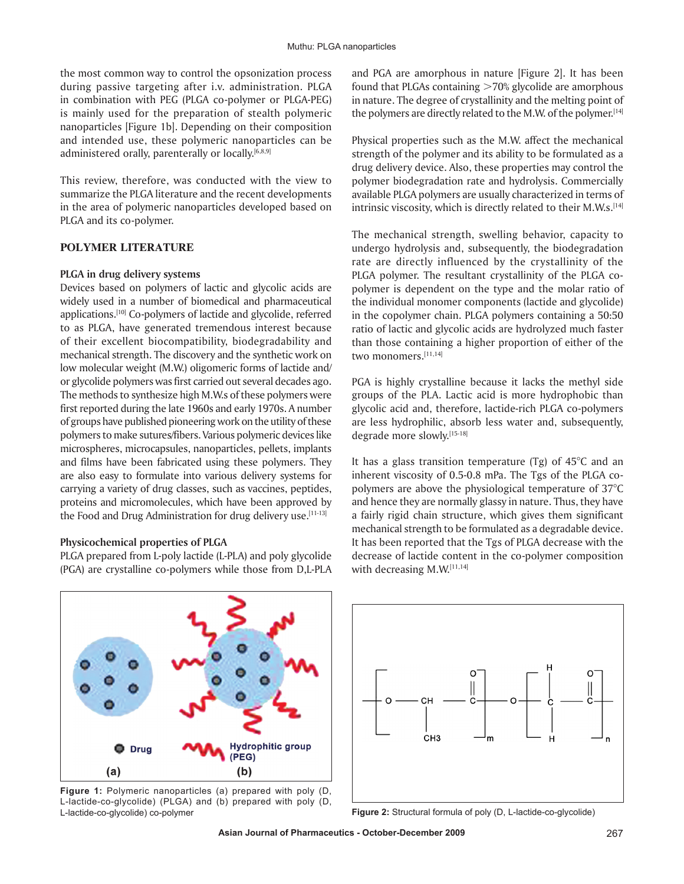the most common way to control the opsonization process during passive targeting after i.v. administration. PLGA in combination with PEG (PLGA co-polymer or PLGA-PEG) is mainly used for the preparation of stealth polymeric nanoparticles [Figure 1b]. Depending on their composition and intended use, these polymeric nanoparticles can be administered orally, parenterally or locally.<sup>[6,8,9]</sup>

This review, therefore, was conducted with the view to summarize the PLGA literature and the recent developments in the area of polymeric nanoparticles developed based on PLGA and its co-polymer.

#### **POLYMER LITERATURE**

#### **PLGA in drug delivery systems**

Devices based on polymers of lactic and glycolic acids are widely used in a number of biomedical and pharmaceutical applications.[10] Co-polymers of lactide and glycolide, referred to as PLGA, have generated tremendous interest because of their excellent biocompatibility, biodegradability and mechanical strength. The discovery and the synthetic work on low molecular weight (M.W.) oligomeric forms of lactide and/ or glycolide polymers was first carried out several decades ago. The methods to synthesize high M.W.s of these polymers were first reported during the late 1960s and early 1970s. A number of groups have published pioneering work on the utility of these polymers to make sutures/fibers. Various polymeric devices like microspheres, microcapsules, nanoparticles, pellets, implants and films have been fabricated using these polymers. They are also easy to formulate into various delivery systems for carrying a variety of drug classes, such as vaccines, peptides, proteins and micromolecules, which have been approved by the Food and Drug Administration for drug delivery use.<sup>[11-13]</sup>

#### **Physicochemical properties of PLGA**

PLGA prepared from L-poly lactide (L-PLA) and poly glycolide (PGA) are crystalline co-polymers while those from D,L-PLA

**Hydrophitic group Drug** (PEG)  $(b)$  $(a)$ 

**Figure 1:** Polymeric nanoparticles (a) prepared with poly (D, L-lactide-co-glycolide) (PLGA) and (b) prepared with poly (D, L-lactide-co-glycolide) co-polymer **Figure 2:** Structural formula of poly (D, L-lactide-co-glycolide)

and PGA are amorphous in nature [Figure 2]. It has been found that PLGAs containing  $>70\%$  glycolide are amorphous in nature. The degree of crystallinity and the melting point of the polymers are directly related to the M.W. of the polymer.  $[14]$ 

Physical properties such as the M.W. affect the mechanical strength of the polymer and its ability to be formulated as a drug delivery device. Also, these properties may control the polymer biodegradation rate and hydrolysis. Commercially available PLGA polymers are usually characterized in terms of intrinsic viscosity, which is directly related to their M.W.s.<sup>[14]</sup>

The mechanical strength, swelling behavior, capacity to undergo hydrolysis and, subsequently, the biodegradation rate are directly influenced by the crystallinity of the PLGA polymer. The resultant crystallinity of the PLGA copolymer is dependent on the type and the molar ratio of the individual monomer components (lactide and glycolide) in the copolymer chain. PLGA polymers containing a 50:50 ratio of lactic and glycolic acids are hydrolyzed much faster than those containing a higher proportion of either of the two monomers.[11,14]

PGA is highly crystalline because it lacks the methyl side groups of the PLA. Lactic acid is more hydrophobic than glycolic acid and, therefore, lactide-rich PLGA co-polymers are less hydrophilic, absorb less water and, subsequently, degrade more slowly.[15-18]

It has a glass transition temperature (Tg) of 45°C and an inherent viscosity of 0.5-0.8 mPa. The Tgs of the PLGA copolymers are above the physiological temperature of 37°C and hence they are normally glassy in nature. Thus, they have a fairly rigid chain structure, which gives them significant mechanical strength to be formulated as a degradable device. It has been reported that the Tgs of PLGA decrease with the decrease of lactide content in the co-polymer composition with decreasing M.W.[11,14]

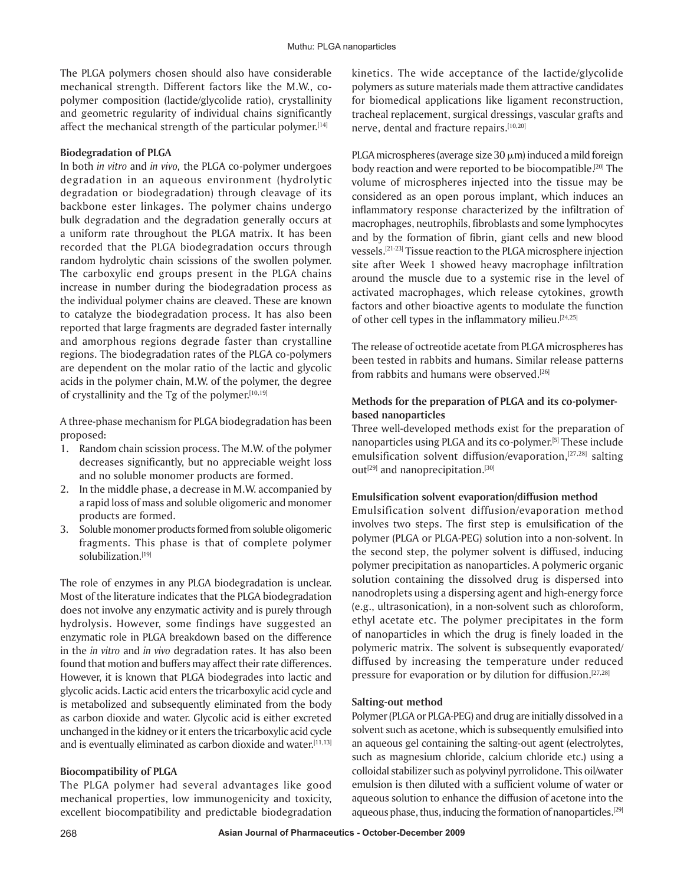The PLGA polymers chosen should also have considerable mechanical strength. Different factors like the M.W., copolymer composition (lactide/glycolide ratio), crystallinity and geometric regularity of individual chains significantly affect the mechanical strength of the particular polymer.<sup>[14]</sup>

#### **Biodegradation of PLGA**

In both *in vitro* and *in vivo,* the PLGA co-polymer undergoes degradation in an aqueous environment (hydrolytic degradation or biodegradation) through cleavage of its backbone ester linkages. The polymer chains undergo bulk degradation and the degradation generally occurs at a uniform rate throughout the PLGA matrix. It has been recorded that the PLGA biodegradation occurs through random hydrolytic chain scissions of the swollen polymer. The carboxylic end groups present in the PLGA chains increase in number during the biodegradation process as the individual polymer chains are cleaved. These are known to catalyze the biodegradation process. It has also been reported that large fragments are degraded faster internally and amorphous regions degrade faster than crystalline regions. The biodegradation rates of the PLGA co-polymers are dependent on the molar ratio of the lactic and glycolic acids in the polymer chain, M.W. of the polymer, the degree of crystallinity and the Tg of the polymer.[10,19]

A three-phase mechanism for PLGA biodegradation has been proposed:

- 1. Random chain scission process. The M.W. of the polymer decreases significantly, but no appreciable weight loss and no soluble monomer products are formed.
- 2. In the middle phase, a decrease in M.W. accompanied by a rapid loss of mass and soluble oligomeric and monomer products are formed.
- 3. Soluble monomer products formed from soluble oligomeric fragments. This phase is that of complete polymer solubilization.[19]

The role of enzymes in any PLGA biodegradation is unclear. Most of the literature indicates that the PLGA biodegradation does not involve any enzymatic activity and is purely through hydrolysis. However, some findings have suggested an enzymatic role in PLGA breakdown based on the difference in the *in vitro* and *in vivo* degradation rates. It has also been found that motion and buffers may affect their rate differences. However, it is known that PLGA biodegrades into lactic and glycolic acids. Lactic acid enters the tricarboxylic acid cycle and is metabolized and subsequently eliminated from the body as carbon dioxide and water. Glycolic acid is either excreted unchanged in the kidney or it enters the tricarboxylic acid cycle and is eventually eliminated as carbon dioxide and water.[11,13]

# **Biocompatibility of PLGA**

The PLGA polymer had several advantages like good mechanical properties, low immunogenicity and toxicity, excellent biocompatibility and predictable biodegradation kinetics. The wide acceptance of the lactide/glycolide polymers as suture materials made them attractive candidates for biomedical applications like ligament reconstruction, tracheal replacement, surgical dressings, vascular grafts and nerve, dental and fracture repairs.[10,20]

PLGA microspheres (average size  $30 \mu m$ ) induced a mild foreign body reaction and were reported to be biocompatible.<sup>[20]</sup> The volume of microspheres injected into the tissue may be considered as an open porous implant, which induces an inflammatory response characterized by the infiltration of macrophages, neutrophils, fibroblasts and some lymphocytes and by the formation of fibrin, giant cells and new blood vessels.[21-23] Tissue reaction to the PLGA microsphere injection site after Week 1 showed heavy macrophage infiltration around the muscle due to a systemic rise in the level of activated macrophages, which release cytokines, growth factors and other bioactive agents to modulate the function of other cell types in the inflammatory milieu.[24,25]

The release of octreotide acetate from PLGA microspheres has been tested in rabbits and humans. Similar release patterns from rabbits and humans were observed.<sup>[26]</sup>

# **Methods for the preparation of PLGA and its co-polymerbased nanoparticles**

Three well-developed methods exist for the preparation of nanoparticles using PLGA and its co-polymer.[5] These include emulsification solvent diffusion/evaporation,<sup>[27,28]</sup> salting out<sup>[29]</sup> and nanoprecipitation.<sup>[30]</sup>

# **Emulsification solvent evaporation/diffusion method**

Emulsification solvent diffusion/evaporation method involves two steps. The first step is emulsification of the polymer (PLGA or PLGA-PEG) solution into a non-solvent. In the second step, the polymer solvent is diffused, inducing polymer precipitation as nanoparticles. A polymeric organic solution containing the dissolved drug is dispersed into nanodroplets using a dispersing agent and high-energy force (e.g., ultrasonication), in a non-solvent such as chloroform, ethyl acetate etc. The polymer precipitates in the form of nanoparticles in which the drug is finely loaded in the polymeric matrix. The solvent is subsequently evaporated/ diffused by increasing the temperature under reduced pressure for evaporation or by dilution for diffusion.<sup>[27,28]</sup>

#### **Salting-out method**

Polymer (PLGA or PLGA-PEG) and drug are initially dissolved in a solvent such as acetone, which is subsequently emulsified into an aqueous gel containing the salting-out agent (electrolytes, such as magnesium chloride, calcium chloride etc.) using a colloidal stabilizer such as polyvinyl pyrrolidone. This oil/water emulsion is then diluted with a sufficient volume of water or aqueous solution to enhance the diffusion of acetone into the aqueous phase, thus, inducing the formation of nanoparticles.[29]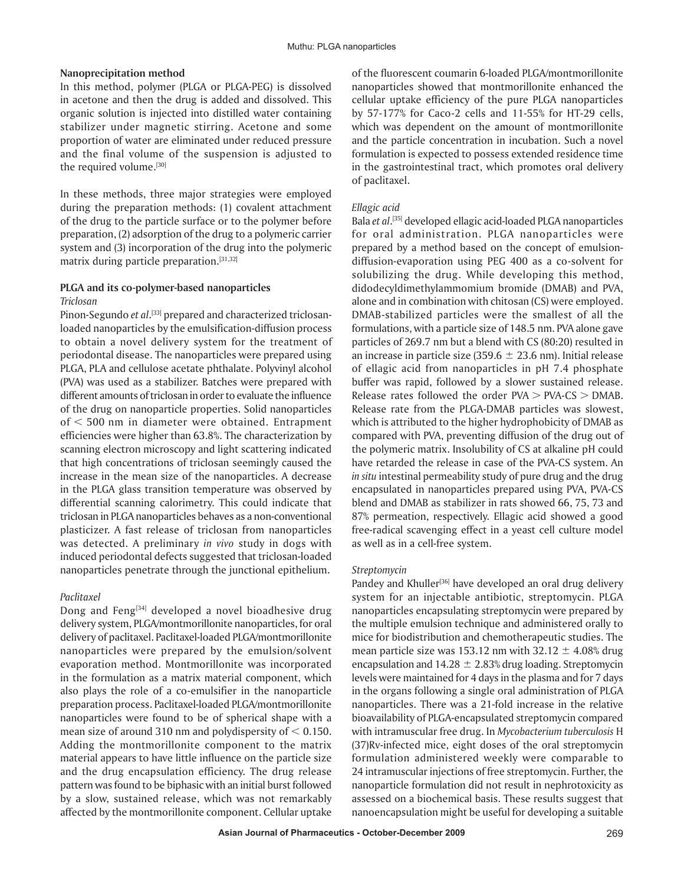### **Nanoprecipitation method**

In this method, polymer (PLGA or PLGA-PEG) is dissolved in acetone and then the drug is added and dissolved. This organic solution is injected into distilled water containing stabilizer under magnetic stirring. Acetone and some proportion of water are eliminated under reduced pressure and the final volume of the suspension is adjusted to the required volume.[30]

In these methods, three major strategies were employed during the preparation methods: (1) covalent attachment of the drug to the particle surface or to the polymer before preparation, (2) adsorption of the drug to a polymeric carrier system and (3) incorporation of the drug into the polymeric matrix during particle preparation.<sup>[31,32]</sup>

# **PLGA and its co-polymer-based nanoparticles**

#### *Triclosan*

Pinon-Segundo et al.<sup>[33]</sup> prepared and characterized triclosanloaded nanoparticles by the emulsification-diffusion process to obtain a novel delivery system for the treatment of periodontal disease. The nanoparticles were prepared using PLGA, PLA and cellulose acetate phthalate. Polyvinyl alcohol (PVA) was used as a stabilizer. Batches were prepared with different amounts of triclosan in order to evaluate the influence of the drug on nanoparticle properties. Solid nanoparticles  $of < 500$  nm in diameter were obtained. Entrapment efficiencies were higher than 63.8%. The characterization by scanning electron microscopy and light scattering indicated that high concentrations of triclosan seemingly caused the increase in the mean size of the nanoparticles. A decrease in the PLGA glass transition temperature was observed by differential scanning calorimetry. This could indicate that triclosan in PLGA nanoparticles behaves as a non-conventional plasticizer. A fast release of triclosan from nanoparticles was detected. A preliminary *in vivo* study in dogs with induced periodontal defects suggested that triclosan-loaded nanoparticles penetrate through the junctional epithelium.

# *Paclitaxel*

Dong and Feng<sup>[34]</sup> developed a novel bioadhesive drug delivery system, PLGA/montmorillonite nanoparticles, for oral delivery of paclitaxel. Paclitaxel-loaded PLGA/montmorillonite nanoparticles were prepared by the emulsion/solvent evaporation method. Montmorillonite was incorporated in the formulation as a matrix material component, which also plays the role of a co-emulsifier in the nanoparticle preparation process. Paclitaxel-loaded PLGA/montmorillonite nanoparticles were found to be of spherical shape with a mean size of around 310 nm and polydispersity of  $<$  0.150. Adding the montmorillonite component to the matrix material appears to have little influence on the particle size and the drug encapsulation efficiency. The drug release pattern was found to be biphasic with an initial burst followed by a slow, sustained release, which was not remarkably affected by the montmorillonite component. Cellular uptake of the fluorescent coumarin 6-loaded PLGA/montmorillonite nanoparticles showed that montmorillonite enhanced the cellular uptake efficiency of the pure PLGA nanoparticles by 57-177% for Caco-2 cells and 11-55% for HT-29 cells, which was dependent on the amount of montmorillonite and the particle concentration in incubation. Such a novel formulation is expected to possess extended residence time in the gastrointestinal tract, which promotes oral delivery of paclitaxel.

### *Ellagic acid*

Bala *et al*. [35] developed ellagic acid-loaded PLGA nanoparticles for oral administration. PLGA nanoparticles were prepared by a method based on the concept of emulsiondiffusion-evaporation using PEG 400 as a co-solvent for solubilizing the drug. While developing this method, didodecyldimethylammomium bromide (DMAB) and PVA, alone and in combination with chitosan (CS) were employed. DMAB-stabilized particles were the smallest of all the formulations, with a particle size of 148.5 nm. PVA alone gave particles of 269.7 nm but a blend with CS (80:20) resulted in an increase in particle size (359.6  $\pm$  23.6 nm). Initial release of ellagic acid from nanoparticles in pH 7.4 phosphate buffer was rapid, followed by a slower sustained release. Release rates followed the order  $PVA > PVA-CS > DMAB$ . Release rate from the PLGA-DMAB particles was slowest, which is attributed to the higher hydrophobicity of DMAB as compared with PVA, preventing diffusion of the drug out of the polymeric matrix. Insolubility of CS at alkaline pH could have retarded the release in case of the PVA-CS system. An *in situ* intestinal permeability study of pure drug and the drug encapsulated in nanoparticles prepared using PVA, PVA-CS blend and DMAB as stabilizer in rats showed 66, 75, 73 and 87% permeation, respectively. Ellagic acid showed a good free-radical scavenging effect in a yeast cell culture model as well as in a cell-free system.

# *Streptomycin*

Pandey and Khuller<sup>[36]</sup> have developed an oral drug delivery system for an injectable antibiotic, streptomycin. PLGA nanoparticles encapsulating streptomycin were prepared by the multiple emulsion technique and administered orally to mice for biodistribution and chemotherapeutic studies. The mean particle size was 153.12 nm with  $32.12 \pm 4.08\%$  drug encapsulation and  $14.28 \pm 2.83\%$  drug loading. Streptomycin levels were maintained for 4 days in the plasma and for 7 days in the organs following a single oral administration of PLGA nanoparticles. There was a 21-fold increase in the relative bioavailability of PLGA-encapsulated streptomycin compared with intramuscular free drug. In *Mycobacterium tuberculosis* H (37)Rv-infected mice, eight doses of the oral streptomycin formulation administered weekly were comparable to 24 intramuscular injections of free streptomycin. Further, the nanoparticle formulation did not result in nephrotoxicity as assessed on a biochemical basis. These results suggest that nanoencapsulation might be useful for developing a suitable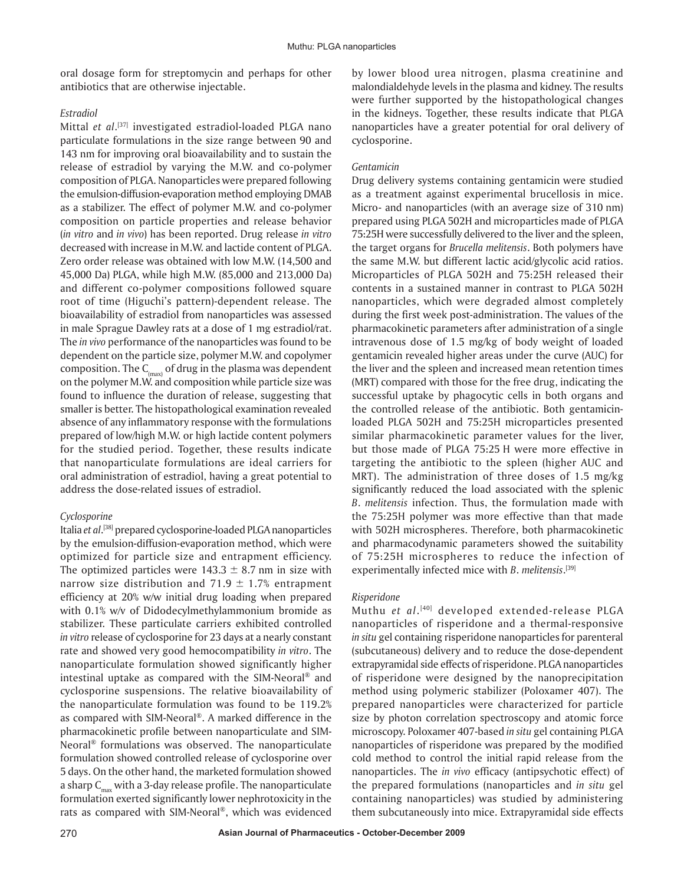oral dosage form for streptomycin and perhaps for other antibiotics that are otherwise injectable.

# *Estradiol*

Mittal *et al*. [37] investigated estradiol-loaded PLGA nano particulate formulations in the size range between 90 and 143 nm for improving oral bioavailability and to sustain the release of estradiol by varying the M.W. and co-polymer composition of PLGA. Nanoparticles were prepared following the emulsion-diffusion-evaporation method employing DMAB as a stabilizer. The effect of polymer M.W. and co-polymer composition on particle properties and release behavior (*in vitro* and *in vivo*) has been reported. Drug release *in vitro* decreased with increase in M.W. and lactide content of PLGA. Zero order release was obtained with low M.W. (14,500 and 45,000 Da) PLGA, while high M.W. (85,000 and 213,000 Da) and different co-polymer compositions followed square root of time (Higuchi's pattern)-dependent release. The bioavailability of estradiol from nanoparticles was assessed in male Sprague Dawley rats at a dose of 1 mg estradiol/rat. The *in vivo* performance of the nanoparticles was found to be dependent on the particle size, polymer M.W. and copolymer composition. The  $C_{\text{(max)}}$  of drug in the plasma was dependent on the polymer M.W. and composition while particle size was found to influence the duration of release, suggesting that smaller is better. The histopathological examination revealed absence of any inflammatory response with the formulations prepared of low/high M.W. or high lactide content polymers for the studied period. Together, these results indicate that nanoparticulate formulations are ideal carriers for oral administration of estradiol, having a great potential to address the dose-related issues of estradiol.

# *Cyclosporine*

Italia *et al*. [38] prepared cyclosporine-loaded PLGA nanoparticles by the emulsion-diffusion-evaporation method, which were optimized for particle size and entrapment efficiency. The optimized particles were  $143.3 \pm 8.7$  nm in size with narrow size distribution and 71.9  $\pm$  1.7% entrapment efficiency at 20% w/w initial drug loading when prepared with 0.1% w/v of Didodecylmethylammonium bromide as stabilizer. These particulate carriers exhibited controlled *in vitro* release of cyclosporine for 23 days at a nearly constant rate and showed very good hemocompatibility *in vitro*. The nanoparticulate formulation showed significantly higher intestinal uptake as compared with the SIM-Neoral® and cyclosporine suspensions. The relative bioavailability of the nanoparticulate formulation was found to be 119.2% as compared with SIM-Neoral®. A marked difference in the pharmacokinetic profile between nanoparticulate and SIM-Neoral® formulations was observed. The nanoparticulate formulation showed controlled release of cyclosporine over 5 days. On the other hand, the marketed formulation showed a sharp  $C_{\text{max}}$  with a 3-day release profile. The nanoparticulate formulation exerted significantly lower nephrotoxicity in the rats as compared with SIM-Neoral®, which was evidenced

by lower blood urea nitrogen, plasma creatinine and malondialdehyde levels in the plasma and kidney. The results were further supported by the histopathological changes in the kidneys. Together, these results indicate that PLGA nanoparticles have a greater potential for oral delivery of cyclosporine.

# *Gentamicin*

Drug delivery systems containing gentamicin were studied as a treatment against experimental brucellosis in mice. Micro- and nanoparticles (with an average size of 310 nm) prepared using PLGA 502H and microparticles made of PLGA 75:25H were successfully delivered to the liver and the spleen, the target organs for *Brucella melitensis*. Both polymers have the same M.W. but different lactic acid/glycolic acid ratios. Microparticles of PLGA 502H and 75:25H released their contents in a sustained manner in contrast to PLGA 502H nanoparticles, which were degraded almost completely during the first week post-administration. The values of the pharmacokinetic parameters after administration of a single intravenous dose of 1.5 mg/kg of body weight of loaded gentamicin revealed higher areas under the curve (AUC) for the liver and the spleen and increased mean retention times (MRT) compared with those for the free drug, indicating the successful uptake by phagocytic cells in both organs and the controlled release of the antibiotic. Both gentamicinloaded PLGA 502H and 75:25H microparticles presented similar pharmacokinetic parameter values for the liver, but those made of PLGA 75:25 H were more effective in targeting the antibiotic to the spleen (higher AUC and MRT). The administration of three doses of 1.5 mg/kg significantly reduced the load associated with the splenic *B*. *melitensis* infection. Thus, the formulation made with the 75:25H polymer was more effective than that made with 502H microspheres. Therefore, both pharmacokinetic and pharmacodynamic parameters showed the suitability of 75:25H microspheres to reduce the infection of experimentally infected mice with *B*. *melitensis*. [39]

# *Risperidone*

Muthu et al.<sup>[40]</sup> developed extended-release PLGA nanoparticles of risperidone and a thermal-responsive *in situ* gel containing risperidone nanoparticles for parenteral (subcutaneous) delivery and to reduce the dose-dependent extrapyramidal side effects of risperidone. PLGA nanoparticles of risperidone were designed by the nanoprecipitation method using polymeric stabilizer (Poloxamer 407). The prepared nanoparticles were characterized for particle size by photon correlation spectroscopy and atomic force microscopy. Poloxamer 407-based *in situ* gel containing PLGA nanoparticles of risperidone was prepared by the modified cold method to control the initial rapid release from the nanoparticles. The *in vivo* efficacy (antipsychotic effect) of the prepared formulations (nanoparticles and *in situ* gel containing nanoparticles) was studied by administering them subcutaneously into mice. Extrapyramidal side effects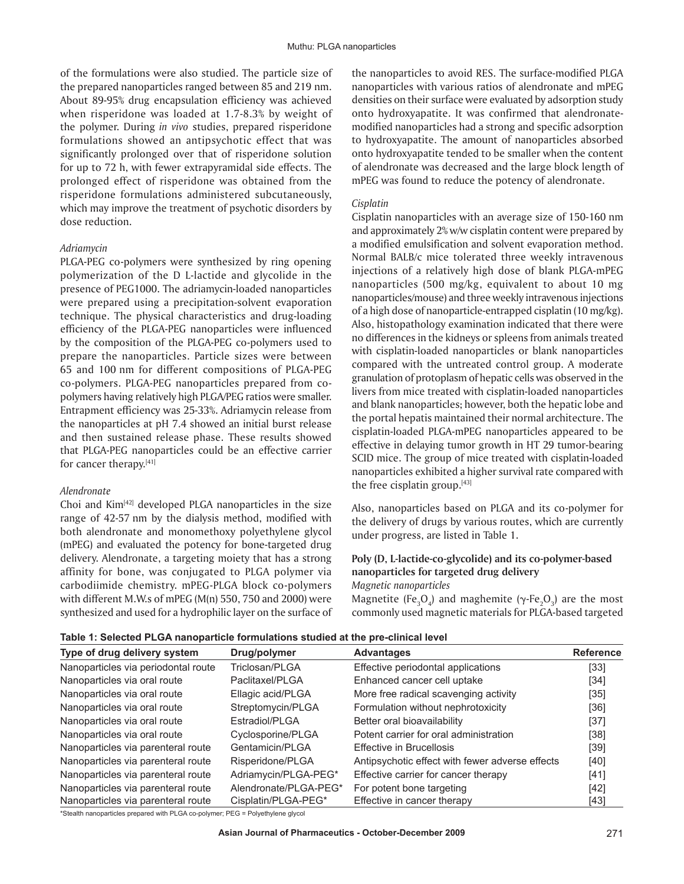of the formulations were also studied. The particle size of the prepared nanoparticles ranged between 85 and 219 nm. About 89-95% drug encapsulation efficiency was achieved when risperidone was loaded at 1.7-8.3% by weight of the polymer. During *in vivo* studies, prepared risperidone formulations showed an antipsychotic effect that was significantly prolonged over that of risperidone solution for up to 72 h, with fewer extrapyramidal side effects. The prolonged effect of risperidone was obtained from the risperidone formulations administered subcutaneously, which may improve the treatment of psychotic disorders by dose reduction.

#### *Adriamycin*

PLGA-PEG co-polymers were synthesized by ring opening polymerization of the D L-lactide and glycolide in the presence of PEG1000. The adriamycin-loaded nanoparticles were prepared using a precipitation-solvent evaporation technique. The physical characteristics and drug-loading efficiency of the PLGA-PEG nanoparticles were influenced by the composition of the PLGA-PEG co-polymers used to prepare the nanoparticles. Particle sizes were between 65 and 100 nm for different compositions of PLGA-PEG co-polymers. PLGA-PEG nanoparticles prepared from copolymers having relatively high PLGA/PEG ratios were smaller. Entrapment efficiency was 25-33%. Adriamycin release from the nanoparticles at pH 7.4 showed an initial burst release and then sustained release phase. These results showed that PLGA-PEG nanoparticles could be an effective carrier for cancer therapy.[41]

#### *Alendronate*

Choi and  $Kim<sup>[42]</sup> developed PLGA nanoparticles in the size$ range of 42-57 nm by the dialysis method, modified with both alendronate and monomethoxy polyethylene glycol (mPEG) and evaluated the potency for bone-targeted drug delivery. Alendronate, a targeting moiety that has a strong affinity for bone, was conjugated to PLGA polymer via carbodiimide chemistry. mPEG-PLGA block co-polymers with different M.W.s of mPEG (M(n) 550, 750 and 2000) were synthesized and used for a hydrophilic layer on the surface of the nanoparticles to avoid RES. The surface-modified PLGA nanoparticles with various ratios of alendronate and mPEG densities on their surface were evaluated by adsorption study onto hydroxyapatite. It was confirmed that alendronatemodified nanoparticles had a strong and specific adsorption to hydroxyapatite. The amount of nanoparticles absorbed onto hydroxyapatite tended to be smaller when the content of alendronate was decreased and the large block length of mPEG was found to reduce the potency of alendronate.

#### *Cisplatin*

Cisplatin nanoparticles with an average size of 150-160 nm and approximately 2% w/w cisplatin content were prepared by a modified emulsification and solvent evaporation method. Normal BALB/c mice tolerated three weekly intravenous injections of a relatively high dose of blank PLGA-mPEG nanoparticles (500 mg/kg, equivalent to about 10 mg nanoparticles/mouse) and three weekly intravenous injections of a high dose of nanoparticle-entrapped cisplatin (10 mg/kg). Also, histopathology examination indicated that there were no differences in the kidneys or spleens from animals treated with cisplatin-loaded nanoparticles or blank nanoparticles compared with the untreated control group. A moderate granulation of protoplasm of hepatic cells was observed in the livers from mice treated with cisplatin-loaded nanoparticles and blank nanoparticles; however, both the hepatic lobe and the portal hepatis maintained their normal architecture. The cisplatin-loaded PLGA-mPEG nanoparticles appeared to be effective in delaying tumor growth in HT 29 tumor-bearing SCID mice. The group of mice treated with cisplatin-loaded nanoparticles exhibited a higher survival rate compared with the free cisplatin group.[43]

Also, nanoparticles based on PLGA and its co-polymer for the delivery of drugs by various routes, which are currently under progress, are listed in Table 1.

#### **Poly (D, L-lactide-co-glycolide) and its co-polymer-based nanoparticles for targeted drug delivery** *Magnetic nanoparticles*

Magnetite (Fe<sub>3</sub>O<sub>4</sub>) and maghemite ( $\gamma$ -Fe<sub>2</sub>O<sub>3</sub>) are the most commonly used magnetic materials for PLGA-based targeted

| Type of drug delivery system        | Drug/polymer          | <b>Advantages</b>                               | <b>Reference</b> |
|-------------------------------------|-----------------------|-------------------------------------------------|------------------|
| Nanoparticles via periodontal route | Triclosan/PLGA        | Effective periodontal applications              | $[33]$           |
| Nanoparticles via oral route        | Paclitaxel/PLGA       | Enhanced cancer cell uptake                     | [34]             |
| Nanoparticles via oral route        | Ellagic acid/PLGA     | More free radical scavenging activity           | $[35]$           |
| Nanoparticles via oral route        | Streptomycin/PLGA     | Formulation without nephrotoxicity              | $[36]$           |
| Nanoparticles via oral route        | Estradiol/PLGA        | Better oral bioavailability                     | $[37]$           |
| Nanoparticles via oral route        | Cyclosporine/PLGA     | Potent carrier for oral administration          | $[38]$           |
| Nanoparticles via parenteral route  | Gentamicin/PLGA       | Effective in Brucellosis                        | $[39]$           |
| Nanoparticles via parenteral route  | Risperidone/PLGA      | Antipsychotic effect with fewer adverse effects | $[40]$           |
| Nanoparticles via parenteral route  | Adriamycin/PLGA-PEG*  | Effective carrier for cancer therapy            | [41]             |
| Nanoparticles via parenteral route  | Alendronate/PLGA-PEG* | For potent bone targeting                       | $[42]$           |
| Nanoparticles via parenteral route  | Cisplatin/PLGA-PEG*   | Effective in cancer therapy                     | [43]             |

#### **Table 1: Selected PLGA nanoparticle formulations studied at the pre-clinical level**

\*Stealth nanoparticles prepared with PLGA co-polymer; PEG = Polyethylene glycol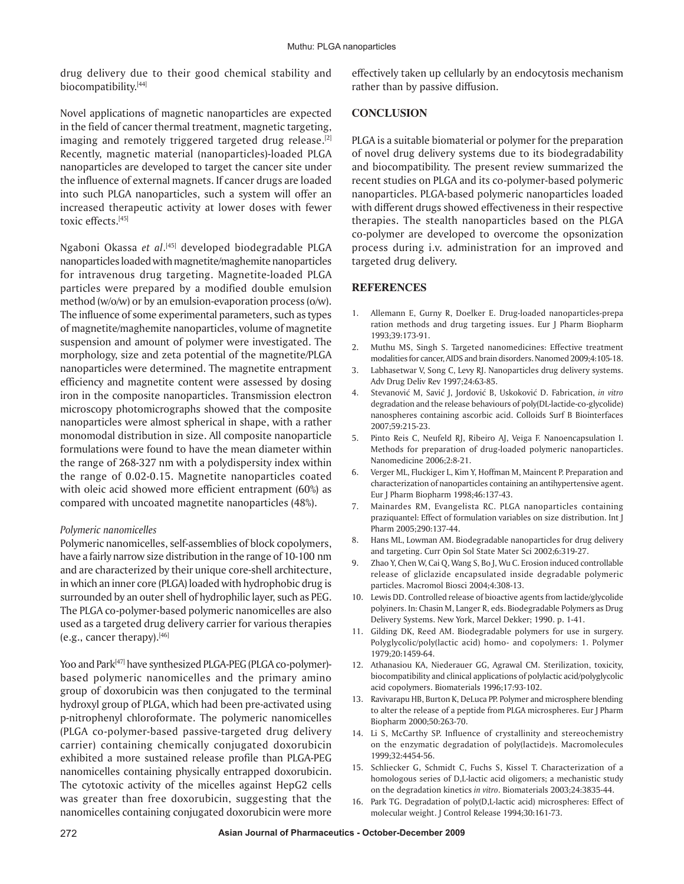drug delivery due to their good chemical stability and biocompatibility.[44]

Novel applications of magnetic nanoparticles are expected in the field of cancer thermal treatment, magnetic targeting, imaging and remotely triggered targeted drug release.[2] Recently, magnetic material (nanoparticles)-loaded PLGA nanoparticles are developed to target the cancer site under the influence of external magnets. If cancer drugs are loaded into such PLGA nanoparticles, such a system will offer an increased therapeutic activity at lower doses with fewer toxic effects.[45]

Ngaboni Okassa et al.<sup>[45]</sup> developed biodegradable PLGA nanoparticles loaded with magnetite/maghemite nanoparticles for intravenous drug targeting. Magnetite-loaded PLGA particles were prepared by a modified double emulsion method (w/o/w) or by an emulsion-evaporation process (o/w). The influence of some experimental parameters, such as types of magnetite/maghemite nanoparticles, volume of magnetite suspension and amount of polymer were investigated. The morphology, size and zeta potential of the magnetite/PLGA nanoparticles were determined. The magnetite entrapment efficiency and magnetite content were assessed by dosing iron in the composite nanoparticles. Transmission electron microscopy photomicrographs showed that the composite nanoparticles were almost spherical in shape, with a rather monomodal distribution in size. All composite nanoparticle formulations were found to have the mean diameter within the range of 268-327 nm with a polydispersity index within the range of 0.02-0.15. Magnetite nanoparticles coated with oleic acid showed more efficient entrapment (60%) as compared with uncoated magnetite nanoparticles (48%).

#### *Polymeric nanomicelles*

Polymeric nanomicelles, self-assemblies of block copolymers, have a fairly narrow size distribution in the range of 10-100 nm and are characterized by their unique core-shell architecture, in which an inner core (PLGA) loaded with hydrophobic drug is surrounded by an outer shell of hydrophilic layer, such as PEG. The PLGA co-polymer-based polymeric nanomicelles are also used as a targeted drug delivery carrier for various therapies (e.g., cancer therapy).[46]

Yoo and Park<sup>[47]</sup> have synthesized PLGA-PEG (PLGA co-polymer)based polymeric nanomicelles and the primary amino group of doxorubicin was then conjugated to the terminal hydroxyl group of PLGA, which had been pre-activated using p-nitrophenyl chloroformate. The polymeric nanomicelles (PLGA co-polymer-based passive-targeted drug delivery carrier) containing chemically conjugated doxorubicin exhibited a more sustained release profile than PLGA-PEG nanomicelles containing physically entrapped doxorubicin. The cytotoxic activity of the micelles against HepG2 cells was greater than free doxorubicin, suggesting that the nanomicelles containing conjugated doxorubicin were more

effectively taken up cellularly by an endocytosis mechanism rather than by passive diffusion.

#### **CONCLUSION**

PLGA is a suitable biomaterial or polymer for the preparation of novel drug delivery systems due to its biodegradability and biocompatibility. The present review summarized the recent studies on PLGA and its co-polymer-based polymeric nanoparticles. PLGA-based polymeric nanoparticles loaded with different drugs showed effectiveness in their respective therapies. The stealth nanoparticles based on the PLGA co-polymer are developed to overcome the opsonization process during i.v. administration for an improved and targeted drug delivery.

#### **REFERENCES**

- 1. Allemann E, Gurny R, Doelker E. Drug-loaded nanoparticles-prepa ration methods and drug targeting issues. Eur J Pharm Biopharm 1993;39:173-91.
- 2. Muthu MS, Singh S. Targeted nanomedicines: Effective treatment modalities for cancer, AIDS and brain disorders. Nanomed 2009;4:105-18.
- 3. Labhasetwar V, Song C, Levy RJ. Nanoparticles drug delivery systems. Adv Drug Deliv Rev 1997;24:63-85.
- 4. Stevanović M, Savić J, Jordović B, Uskoković D. Fabrication, *in vitro* degradation and the release behaviours of poly(DL-lactide-co-glycolide) nanospheres containing ascorbic acid. Colloids Surf B Biointerfaces 2007;59:215-23.
- 5. Pinto Reis C, Neufeld RJ, Ribeiro AJ, Veiga F. Nanoencapsulation I. Methods for preparation of drug-loaded polymeric nanoparticles. Nanomedicine 2006;2:8-21.
- 6. Verger ML, Fluckiger L, Kim Y, Hoffman M, Maincent P. Preparation and characterization of nanoparticles containing an antihypertensive agent. Eur J Pharm Biopharm 1998;46:137-43.
- 7. Mainardes RM, Evangelista RC. PLGA nanoparticles containing praziquantel: Effect of formulation variables on size distribution. Int J Pharm 2005;290:137-44.
- 8. Hans ML, Lowman AM. Biodegradable nanoparticles for drug delivery and targeting. Curr Opin Sol State Mater Sci 2002;6:319-27.
- 9. Zhao Y, Chen W, Cai Q, Wang S, Bo J, Wu C. Erosion induced controllable release of gliclazide encapsulated inside degradable polymeric particles. Macromol Biosci 2004;4:308-13.
- 10. Lewis DD. Controlled release of bioactive agents from lactide/glycolide polyiners. In: Chasin M, Langer R, eds. Biodegradable Polymers as Drug Delivery Systems. New York, Marcel Dekker; 1990. p. 1-41.
- 11. Gilding DK, Reed AM. Biodegradable polymers for use in surgery. Polyglycolic/poly(lactic acid) homo- and copolymers: 1. Polymer 1979;20:1459-64.
- 12. Athanasiou KA, Niederauer GG, Agrawal CM. Sterilization, toxicity, biocompatibility and clinical applications of polylactic acid/polyglycolic acid copolymers. Biomaterials 1996;17:93-102.
- 13. Ravivarapu HB, Burton K, DeLuca PP. Polymer and microsphere blending to alter the release of a peptide from PLGA microspheres. Eur J Pharm Biopharm 2000;50:263-70.
- 14. Li S, McCarthy SP. Influence of crystallinity and stereochemistry on the enzymatic degradation of poly(lactide)s. Macromolecules 1999;32:4454-56.
- 15. Schliecker G, Schmidt C, Fuchs S, Kissel T. Characterization of a homologous series of D,L-lactic acid oligomers; a mechanistic study on the degradation kinetics *in vitro*. Biomaterials 2003;24:3835-44.
- 16. Park TG. Degradation of poly(D,L-lactic acid) microspheres: Effect of molecular weight. J Control Release 1994;30:161-73.